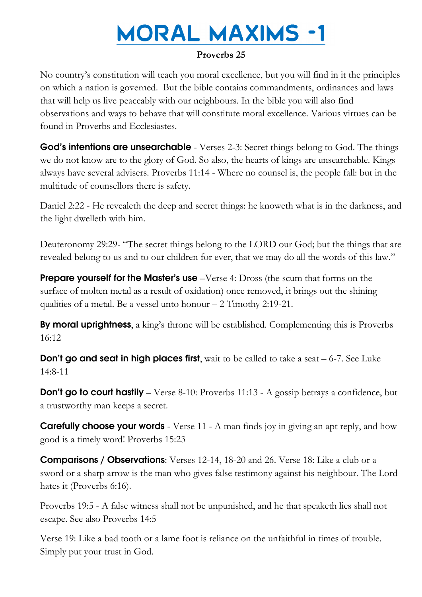## **MORAL MAXIMS -1**

## **Proverbs 25**

No country's constitution will teach you moral excellence, but you will find in it the principles on which a nation is governed. But the bible contains commandments, ordinances and laws that will help us live peaceably with our neighbours. In the bible you will also find observations and ways to behave that will constitute moral excellence. Various virtues can be found in Proverbs and Ecclesiastes.

God's intentions are unsearchable - Verses 2-3: Secret things belong to God. The things we do not know are to the glory of God. So also, the hearts of kings are unsearchable. Kings always have several advisers. Proverbs 11:14 - Where no counsel is, the people fall: but in the multitude of counsellors there is safety.

Daniel 2:22 - He revealeth the deep and secret things: he knoweth what is in the darkness, and the light dwelleth with him.

Deuteronomy 29:29- "The secret things belong to the LORD our God; but the things that are revealed belong to us and to our children for ever, that we may do all the words of this law."

**Prepare yourself for the Master's use** –Verse 4: Dross (the scum that forms on the surface of molten metal as a result of oxidation) once removed, it brings out the shining qualities of a metal. Be a vessel unto honour – 2 Timothy 2:19-21.

By moral uprightness, a king's throne will be established. Complementing this is Proverbs 16:12

**Don't go and seat in high places first**, wait to be called to take a seat – 6-7. See Luke 14:8-11

**Don't go to court hastily** – Verse 8-10: Proverbs 11:13 - A gossip betrays a confidence, but a trustworthy man keeps a secret.

**Carefully choose your words** - Verse 11 - A man finds joy in giving an apt reply, and how good is a timely word! Proverbs 15:23

Comparisons / Observations: Verses 12-14, 18-20 and 26. Verse 18: Like a club or a sword or a sharp arrow is the man who gives false testimony against his neighbour. The Lord hates it (Proverbs 6:16).

Proverbs 19:5 - A false witness shall not be unpunished, and he that speaketh lies shall not escape. See also Proverbs 14:5

Verse 19: Like a bad tooth or a lame foot is reliance on the unfaithful in times of trouble. Simply put your trust in God.